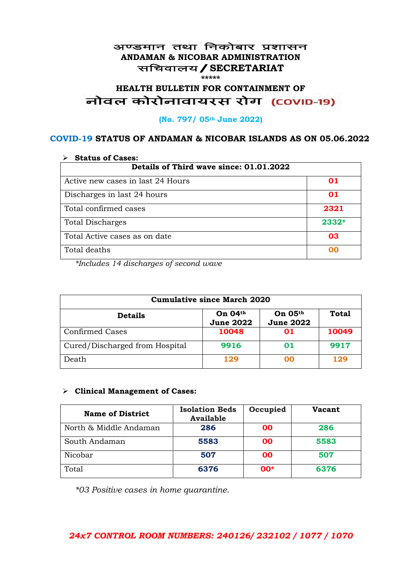#### अण्डमान तथा निकोबार प्रशासन **ANDAMAN & NICOBAR ADMINISTRATION** सचिवालय / SECRETARIAT **\*\*\*\*\***

# HEALTH BULLETIN FOR CONTAINMENT OF<br>बोवल कोरोनावायरस रोग (COVID-19)

#### **(No. 797/ 05th June 2022)**

#### **COVID-19 STATUS OF ANDAMAN & NICOBAR ISLANDS AS ON 05.06.2022**

| <b>Status of Cases:</b>                 |         |  |
|-----------------------------------------|---------|--|
| Details of Third wave since: 01.01.2022 |         |  |
| Active new cases in last 24 Hours       | 01      |  |
| Discharges in last 24 hours             | 01      |  |
| Total confirmed cases                   | 2321    |  |
| <b>Total Discharges</b>                 | $2332*$ |  |
| Total Active cases as on date           | 03      |  |
| Total deaths                            | na      |  |

*\*Includes 14 discharges of second wave*

| <b>Cumulative since March 2020</b> |                             |                                    |              |
|------------------------------------|-----------------------------|------------------------------------|--------------|
| <b>Details</b>                     | On 04th<br><b>June 2022</b> | <b>On 05th</b><br><b>June 2022</b> | <b>Total</b> |
| <b>Confirmed Cases</b>             | 10048                       | 01                                 | 10049        |
| Cured/Discharged from Hospital     | 9916                        | 01                                 | 9917         |
| Death                              | 129                         | ററ                                 | 129          |

#### ➢ **Clinical Management of Cases:**

| <b>Name of District</b> | <b>Isolation Beds</b><br><b>Available</b> | Occupied  | Vacant |
|-------------------------|-------------------------------------------|-----------|--------|
| North & Middle Andaman  | 286                                       | <b>OO</b> | 286    |
| South Andaman           | 5583                                      | <b>OO</b> | 5583   |
| Nicobar                 | 507                                       | 00        | 507    |
| Total                   | 6376                                      | $00*$     | 6376   |

*\*03 Positive cases in home quarantine.*

## *24x7 CONTROL ROOM NUMBERS: 240126/ 232102 / 1077 / 1070*